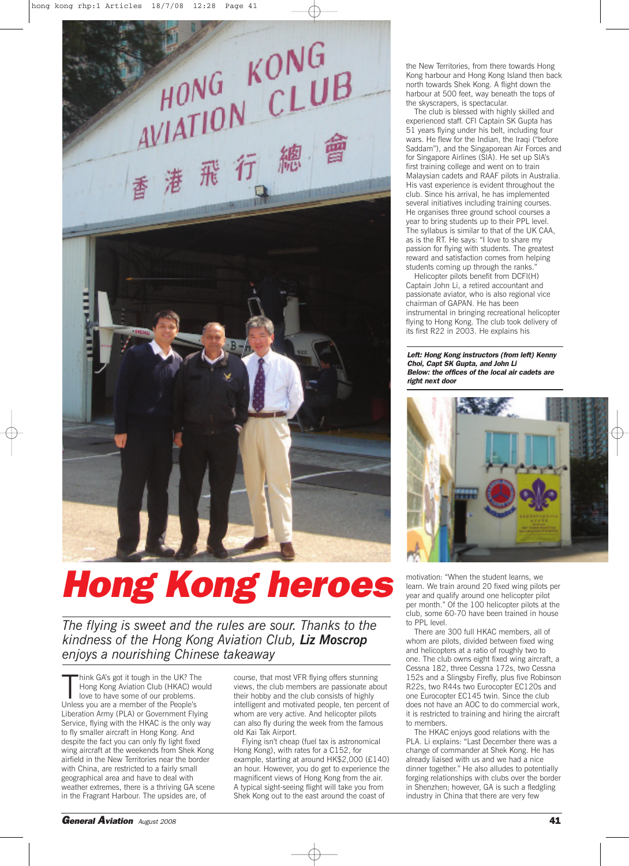

## *Hong Kong heroes*

*The flying is sweet and the rules are sour. Thanks to the kindness of the Hong Kong Aviation Club, Liz Moscrop enjoys a nourishing Chinese takeaway*

Think GA's got it tough in the UK? Theng Kong Aviation Club (HKAC) where to have some of our problems.<br>Unless you are a member of the People's hink GA's got it tough in the UK? The Hong Kong Aviation Club (HKAC) would love to have some of our problems. Liberation Army (PLA) or Government Flying Service, flying with the HKAC is the only way to fly smaller aircraft in Hong Kong. And despite the fact you can only fly light fixed wing aircraft at the weekends from Shek Kong airfield in the New Territories near the border with China, are restricted to a fairly small geographical area and have to deal with weather extremes, there is a thriving GA scene in the Fragrant Harbour. The upsides are, of

course, that most VFR flying offers stunning views, the club members are passionate about their hobby and the club consists of highly intelligent and motivated people, ten percent of whom are very active. And helicopter pilots can also fly during the week from the famous old Kai Tak Airport.

Flying isn't cheap (fuel tax is astronomical Hong Kong), with rates for a C152, for example, starting at around HK\$2,000 (£140) an hour. However, you do get to experience the magnificent views of Hong Kong from the air. A typical sight-seeing flight will take you from Shek Kong out to the east around the coast of

the New Territories, from there towards Hong Kong harbour and Hong Kong Island then back north towards Shek Kong. A flight down the harbour at 500 feet, way beneath the tops of the skyscrapers, is spectacular.

The club is blessed with highly skilled and experienced staff. CFI Captain SK Gupta has 51 years flying under his belt, including four wars. He flew for the Indian, the Iraqi ("before Saddam"), and the Singaporean Air Forces and for Singapore Airlines (SIA). He set up SIA's first training college and went on to train Malaysian cadets and RAAF pilots in Australia. His vast experience is evident throughout the club. Since his arrival, he has implemented several initiatives including training courses. He organises three ground school courses a year to bring students up to their PPL level. The syllabus is similar to that of the UK CAA, as is the RT. He says: "I love to share my passion for flying with students. The greatest reward and satisfaction comes from helping students coming up through the ranks."

Helicopter pilots benefit from DCFI(H) Captain John Li, a retired accountant and passionate aviator, who is also regional vice chairman of GAPAN. He has been instrumental in bringing recreational helicopter flying to Hong Kong. The club took delivery of its first R22 in 2003. He explains his

*Left: Hong Kong instructors (from left) Kenny Choi, Capt SK Gupta, and John Li Below: the offices of the local air cadets are right next door*



motivation: "When the student learns, we learn. We train around 20 fixed wing pilots per year and qualify around one helicopter pilot per month." Of the 100 helicopter pilots at the club, some 60-70 have been trained in house to PPL level.

There are 300 full HKAC members, all of whom are pilots, divided between fixed wing and helicopters at a ratio of roughly two to one. The club owns eight fixed wing aircraft, a Cessna 182, three Cessna 172s, two Cessna 152s and a Slingsby Firefly, plus five Robinson R22s, two R44s two Eurocopter EC120s and one Eurocopter EC145 twin. Since the club does not have an AOC to do commercial work, it is restricted to training and hiring the aircraft to members

The HKAC enjoys good relations with the PLA. Li explains: "Last December there was a change of commander at Shek Kong. He has already liaised with us and we had a nice dinner together." He also alludes to potentially forging relationships with clubs over the border in Shenzhen; however, GA is such a fledgling industry in China that there are very few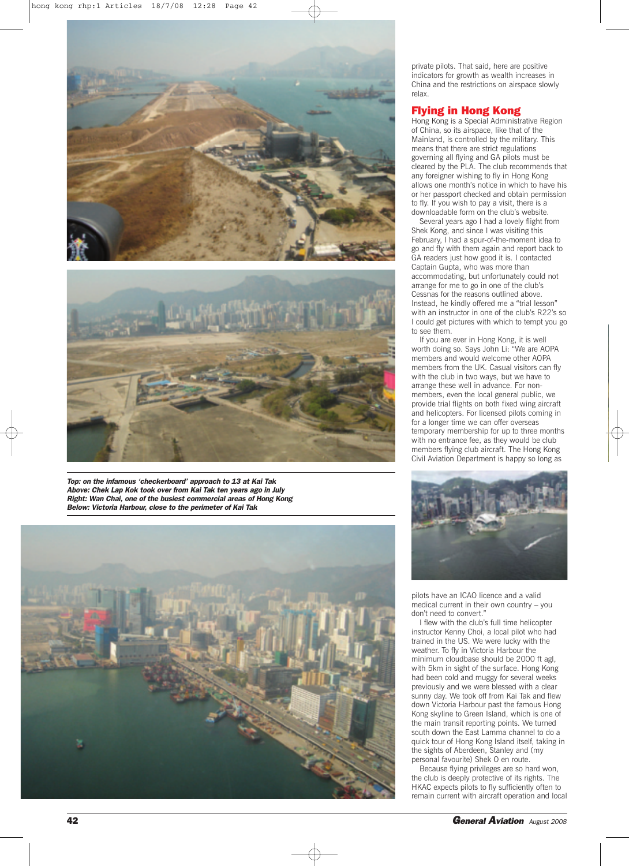



*Top: on the infamous 'checkerboard' approach to 13 at Kai Tak Above: Chek Lap Kok took over from Kai Tak ten years ago in July Right: Wan Chai, one of the busiest commercial areas of Hong Kong Below: Victoria Harbour, close to the perimeter of Kai Tak*



private pilots. That said, here are positive indicators for growth as wealth increases in China and the restrictions on airspace slowly relax.

## **Flying in Hong Kong**

Hong Kong is a Special Administrative Region of China, so its airspace, like that of the Mainland, is controlled by the military. This means that there are strict regulations governing all flying and GA pilots must be cleared by the PLA. The club recommends that any foreigner wishing to fly in Hong Kong allows one month's notice in which to have his or her passport checked and obtain permission to fly. If you wish to pay a visit, there is a downloadable form on the club's website.

Several years ago I had a lovely flight from Shek Kong, and since I was visiting this February, I had a spur-of-the-moment idea to go and fly with them again and report back to GA readers just how good it is. I contacted Captain Gupta, who was more than accommodating, but unfortunately could not arrange for me to go in one of the club's Cessnas for the reasons outlined above. Instead, he kindly offered me a "trial lesson" with an instructor in one of the club's R22's so I could get pictures with which to tempt you go to see them.

If you are ever in Hong Kong, it is well worth doing so. Says John Li: "We are AOPA members and would welcome other AOPA members from the UK. Casual visitors can fly with the club in two ways, but we have to arrange these well in advance. For nonmembers, even the local general public, we provide trial flights on both fixed wing aircraft and helicopters. For licensed pilots coming in for a longer time we can offer overseas temporary membership for up to three months with no entrance fee, as they would be club members flying club aircraft. The Hong Kong Civil Aviation Department is happy so long as



pilots have an ICAO licence and a valid medical current in their own country – you don't need to convert."

I flew with the club's full time helicopter instructor Kenny Choi, a local pilot who had trained in the US. We were lucky with the weather. To fly in Victoria Harbour the minimum cloudbase should be 2000 ft agl, with 5km in sight of the surface. Hong Kong had been cold and muggy for several weeks previously and we were blessed with a clear sunny day. We took off from Kai Tak and flew down Victoria Harbour past the famous Hong Kong skyline to Green Island, which is one of the main transit reporting points. We turned south down the East Lamma channel to do a quick tour of Hong Kong Island itself, taking in the sights of Aberdeen, Stanley and (my personal favourite) Shek O en route.

Because flying privileges are so hard won, the club is deeply protective of its rights. The HKAC expects pilots to fly sufficiently often to remain current with aircraft operation and local